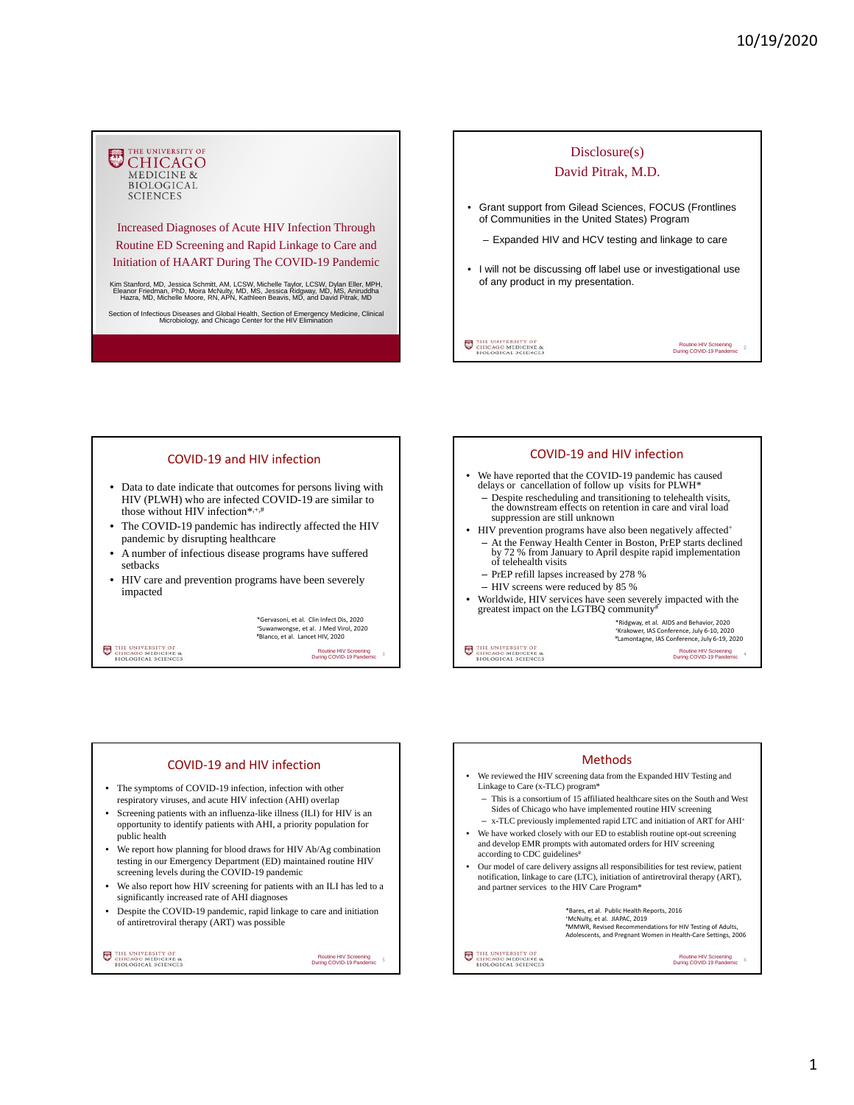## THE UNIVERSITY OF **CHICAGO**<br>MEDICINE & BIOLOGICAL **SCIENCES**

Increased Diagnoses of Acute HIV Infection Through Routine ED Screening and Rapid Linkage to Care and Initiation of HAART During The COVID-19 Pandemic

Kim Stanford, MD, Jessica Schmitt, AM, LCSW, Michelle Taylor, LCSW, Dylan Eller, MPH,<br>Eleanor Friedman, PhD, Moira McNulty, MD, MS, Jessica Ridgway, MD, MS, Aniruddha<br>Hazra, MD, Michelle Moore, RN, APN, Kathleen Beavis, MD

Section of Infectious Diseases and Global Health, Section of Emergency Medicine, Clinical Microbiology, and Chicago Center for the HIV Elimination



## COVID‐19 and HIV infection

- Data to date indicate that outcomes for persons living with HIV (PLWH) who are infected COVID-19 are similar to those without HIV infection\*,+,#
- The COVID-19 pandemic has indirectly affected the HIV pandemic by disrupting healthcare
- A number of infectious disease programs have suffered setbacks
- HIV care and prevention programs have been severely impacted

\*Gervasoni, et al. Clin Infect Dis, 2020 <sup>+</sup>Suwanwongse, et al. J Med Virol, 2020<br><sup>#</sup>Blanco, et al. Lancet HIV, 2020

THE UNIVERSITY OF CHICAGO MEDICINE &

Routine HIV Screening During COVID-19 Pandemic

3

#### COVID‐19 and HIV infection We have reported that the COVID-19 pandemic has caused delays or cancellation of follow up visits for PLWH\* – Despite rescheduling and transitioning to telehealth visits, the downstream effects on retention in care and viral load suppression are still unknown • HIV prevention programs have also been negatively affected<sup>+</sup> – At the Fenway Health Center in Boston, PrEP starts declined by 72 % from January to April despite rapid implementation of telehealth visits – PrEP refill lapses increased by 278 % – HIV screens were reduced by 85 % • Worldwide, HIV services have seen severely impacted with the greatest impact on the LGTBQ community# \*Ridgway, et al. AIDS and Behavior, 2020 +Krakower, IAS Conference, July 6‐10, 2020 #Lamontagne, IAS Conference, July 6‐19, 2020 THE UNIVERSITY OF CHICAGO MEDICINE & Routine HIV Screening During COVID-19 Pandemic 4

## COVID‐19 and HIV infection

- The symptoms of COVID-19 infection, infection with other respiratory viruses, and acute HIV infection (AHI) overlap
- Screening patients with an influenza-like illness (ILI) for HIV is an opportunity to identify patients with AHI, a priority population for public health
- We report how planning for blood draws for HIV Ab/Ag combination testing in our Emergency Department (ED) maintained routine HIV screening levels during the COVID-19 pandemic
- We also report how HIV screening for patients with an ILI has led to a significantly increased rate of AHI diagnoses
- Despite the COVID-19 pandemic, rapid linkage to care and initiation of antiretroviral therapy (ART) was possible

THE UNIVERSITY OF CHICAGO MEDICINE &

Routine HIV Screening<br>During COVID-19 Pandemic

5

## Methods

- We reviewed the HIV screening data from the Expanded HIV Testing and Linkage to Care (x-TLC) program\*
- This is a consortium of 15 affiliated healthcare sites on the South and West Sides of Chicago who have implemented routine HIV screening
- x-TLC previously implemented rapid LTC and initiation of ART for AHI+
- We have worked closely with our ED to establish routine opt-out screening and develop EMR prompts with automated orders for HIV screening according to CDC guidelines<sup>#</sup>
- Our model of care delivery assigns all responsibilities for test review, patient notification, linkage to care (LTC), initiation of antiretroviral therapy (ART), and partner services to the HIV Care Program\*

THE UNIVERSITY OF CHICAGO MEDICINE &

\*Bares, et al. Public Health Reports, 2016 +McNulty, et al. JIAPAC, 2019 #MMWR, Revised Recommendations for HIV Testing of Adults, Adolescents, and Pregnant Women in Health‐Care Settings, 2006

Routine HIV Screening During COVID-19 Pandemic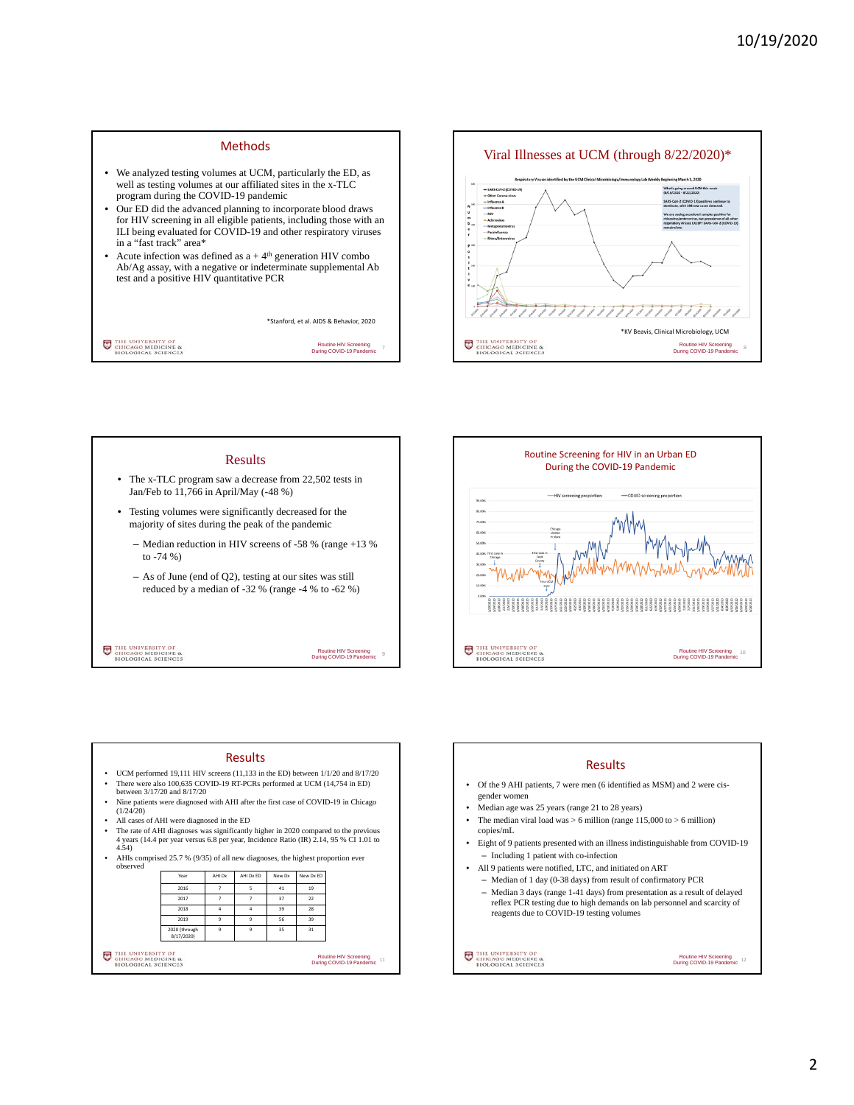## Methods

- We analyzed testing volumes at UCM, particularly the ED, as well as testing volumes at our affiliated sites in the x-TLC program during the COVID-19 pandemic
- Our ED did the advanced planning to incorporate blood draws for HIV screening in all eligible patients, including those with an ILI being evaluated for COVID-19 and other respiratory viruses in a "fast track" area\*
- Acute infection was defined as  $a + 4$ <sup>th</sup> generation HIV combo Ab/Ag assay, with a negative or indeterminate supplemental Ab test and a positive HIV quantitative PCR

\*Stanford, et al. AIDS & Behavior, 2020

THE UNIVERSITY OF CHICAGO MEDICINE &

Routine HIV Screening During COVID-19 Pandemic







#### Results

- UCM performed 19,111 HIV screens (11,133 in the ED) between 1/1/20 and 8/17/20
- There were also 100,635 COVID-19 RT-PCRs performed at UCM (14,754 in ED) between 3/17/20 and 8/17/20
- Nine patients were diagnosed with AHI after the first case of COVID-19 in Chicago (1/24/20)
- All cases of AHI were diagnosed in the ED
- The rate of AHI diagnoses was significantly higher in 2020 compared to the previous 4 years (14.4 per year versus 6.8 per year, Incidence Ratio (IR) 2.14, 95 % CI 1.01 to 4.54)
- AHIs comprised 25.7 % (9/35) of all new diagnoses, the highest proportion ever

|                                                                              | 2016                        | 7                   | 5              | 41 | 19                                                             |  |
|------------------------------------------------------------------------------|-----------------------------|---------------------|----------------|----|----------------------------------------------------------------|--|
|                                                                              | 2017                        | 7                   | 7              | 37 | 22                                                             |  |
|                                                                              | 2018                        | $\Delta$            | $\Delta$       | 39 | 28                                                             |  |
|                                                                              | 2019                        | $\overline{9}$      | $\overline{9}$ | 56 | 39                                                             |  |
|                                                                              | 2020 (through<br>8/17/2020) | $\ddot{\mathbf{q}}$ | 9              | 35 | 31                                                             |  |
| THE UNIVERSITY OF<br>FUT<br>CHICAGO MEDICINE &<br><b>BIOLOGICAL SCIENCES</b> |                             |                     |                |    | <b>Routine HIV Screening</b><br>11<br>During COVID-19 Pandemic |  |

### Results

- Of the 9 AHI patients, 7 were men (6 identified as MSM) and 2 were cisgender women
- Median age was 25 years (range 21 to 28 years)
- The median viral load was  $> 6$  million (range 115,000 to  $> 6$  million) copies/mL
- Eight of 9 patients presented with an illness indistinguishable from COVID-19 – Including 1 patient with co-infection
- All 9 patients were notified, LTC, and initiated on ART
- Median of 1 day (0-38 days) from result of confirmatory PCR
- Median 3 days (range 1-41 days) from presentation as a result of delayed reflex PCR testing due to high demands on lab personnel and scarcity of reagents due to COVID-19 testing volumes

THE UNIVERSITY OF CHICAGO MEDICINE &

Routine HIV Screening During COVID-19 Pandemic